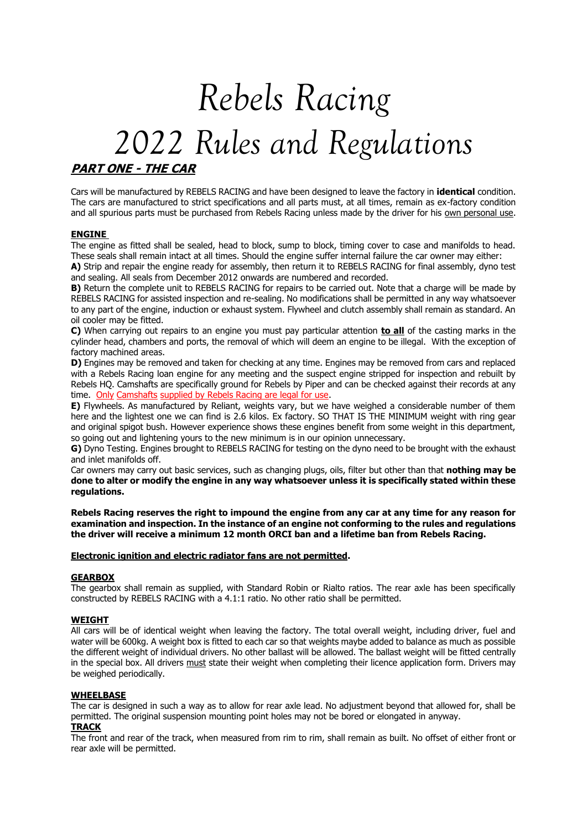# *Rebels Racing 2022 Rules and Regulations* **PART ONE - THE CAR**

# Cars will be manufactured by REBELS RACING and have been designed to leave the factory in **identical** condition. The cars are manufactured to strict specifications and all parts must, at all times, remain as ex-factory condition and all spurious parts must be purchased from Rebels Racing unless made by the driver for his own personal use.

# **ENGINE**

The engine as fitted shall be sealed, head to block, sump to block, timing cover to case and manifolds to head. These seals shall remain intact at all times. Should the engine suffer internal failure the car owner may either:

**A)** Strip and repair the engine ready for assembly, then return it to REBELS RACING for final assembly, dyno test and sealing. All seals from December 2012 onwards are numbered and recorded.

**B)** Return the complete unit to REBELS RACING for repairs to be carried out. Note that a charge will be made by REBELS RACING for assisted inspection and re-sealing. No modifications shall be permitted in any way whatsoever to any part of the engine, induction or exhaust system. Flywheel and clutch assembly shall remain as standard. An oil cooler may be fitted.

**C)** When carrying out repairs to an engine you must pay particular attention **to all** of the casting marks in the cylinder head, chambers and ports, the removal of which will deem an engine to be illegal. With the exception of factory machined areas.

**D)** Engines may be removed and taken for checking at any time. Engines may be removed from cars and replaced with a Rebels Racing loan engine for any meeting and the suspect engine stripped for inspection and rebuilt by Rebels HQ. Camshafts are specifically ground for Rebels by Piper and can be checked against their records at any time. Only Camshafts supplied by Rebels Racing are legal for use.

**E)** Flywheels. As manufactured by Reliant, weights vary, but we have weighed a considerable number of them here and the lightest one we can find is 2.6 kilos. Ex factory. SO THAT IS THE MINIMUM weight with ring gear and original spigot bush. However experience shows these engines benefit from some weight in this department, so going out and lightening yours to the new minimum is in our opinion unnecessary.

**G)** Dyno Testing. Engines brought to REBELS RACING for testing on the dyno need to be brought with the exhaust and inlet manifolds off.

Car owners may carry out basic services, such as changing plugs, oils, filter but other than that **nothing may be done to alter or modify the engine in any way whatsoever unless it is specifically stated within these regulations.**

**Rebels Racing reserves the right to impound the engine from any car at any time for any reason for examination and inspection. In the instance of an engine not conforming to the rules and regulations the driver will receive a minimum 12 month ORCI ban and a lifetime ban from Rebels Racing.**

#### **Electronic ignition and electric radiator fans are not permitted.**

# **GEARBOX**

The gearbox shall remain as supplied, with Standard Robin or Rialto ratios. The rear axle has been specifically constructed by REBELS RACING with a 4.1:1 ratio. No other ratio shall be permitted.

#### **WEIGHT**

All cars will be of identical weight when leaving the factory. The total overall weight, including driver, fuel and water will be 600kg. A weight box is fitted to each car so that weights maybe added to balance as much as possible the different weight of individual drivers. No other ballast will be allowed. The ballast weight will be fitted centrally in the special box. All drivers must state their weight when completing their licence application form. Drivers may be weighed periodically.

# **WHEELBASE**

The car is designed in such a way as to allow for rear axle lead. No adjustment beyond that allowed for, shall be permitted. The original suspension mounting point holes may not be bored or elongated in anyway.

# **TRACK**

The front and rear of the track, when measured from rim to rim, shall remain as built. No offset of either front or rear axle will be permitted.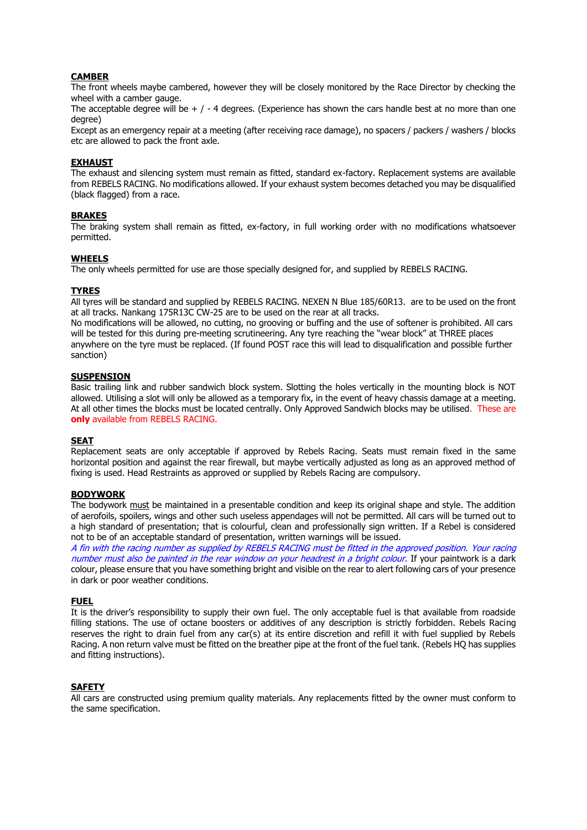# **CAMBER**

The front wheels maybe cambered, however they will be closely monitored by the Race Director by checking the wheel with a camber gauge.

The acceptable degree will be  $+$  /  $-$  4 degrees. (Experience has shown the cars handle best at no more than one degree)

Except as an emergency repair at a meeting (after receiving race damage), no spacers / packers / washers / blocks etc are allowed to pack the front axle.

#### **EXHAUST**

The exhaust and silencing system must remain as fitted, standard ex-factory. Replacement systems are available from REBELS RACING. No modifications allowed. If your exhaust system becomes detached you may be disqualified (black flagged) from a race.

#### **BRAKES**

The braking system shall remain as fitted, ex-factory, in full working order with no modifications whatsoever permitted.

#### **WHEELS**

The only wheels permitted for use are those specially designed for, and supplied by REBELS RACING.

#### **TYRES**

All tyres will be standard and supplied by REBELS RACING. NEXEN N Blue 185/60R13. are to be used on the front at all tracks. Nankang 175R13C CW-25 are to be used on the rear at all tracks.

No modifications will be allowed, no cutting, no grooving or buffing and the use of softener is prohibited. All cars will be tested for this during pre-meeting scrutineering. Any tyre reaching the "wear block" at THREE places anywhere on the tyre must be replaced. (If found POST race this will lead to disqualification and possible further sanction)

# **SUSPENSION**

Basic trailing link and rubber sandwich block system. Slotting the holes vertically in the mounting block is NOT allowed. Utilising a slot will only be allowed as a temporary fix, in the event of heavy chassis damage at a meeting. At all other times the blocks must be located centrally. Only Approved Sandwich blocks may be utilised. These are **only** available from REBELS RACING.

#### **SEAT**

Replacement seats are only acceptable if approved by Rebels Racing. Seats must remain fixed in the same horizontal position and against the rear firewall, but maybe vertically adjusted as long as an approved method of fixing is used. Head Restraints as approved or supplied by Rebels Racing are compulsory.

#### **BODYWORK**

The bodywork must be maintained in a presentable condition and keep its original shape and style. The addition of aerofoils, spoilers, wings and other such useless appendages will not be permitted. All cars will be turned out to a high standard of presentation; that is colourful, clean and professionally sign written. If a Rebel is considered not to be of an acceptable standard of presentation, written warnings will be issued.

A fin with the racing number as supplied by REBELS RACING must be fitted in the approved position. Your racing number must also be painted in the rear window on your headrest in a bright colour. If your paintwork is a dark colour, please ensure that you have something bright and visible on the rear to alert following cars of your presence in dark or poor weather conditions.

#### **FUEL**

It is the driver's responsibility to supply their own fuel. The only acceptable fuel is that available from roadside filling stations. The use of octane boosters or additives of any description is strictly forbidden. Rebels Racing reserves the right to drain fuel from any car(s) at its entire discretion and refill it with fuel supplied by Rebels Racing. A non return valve must be fitted on the breather pipe at the front of the fuel tank. (Rebels HQ has supplies and fitting instructions).

# **SAFETY**

All cars are constructed using premium quality materials. Any replacements fitted by the owner must conform to the same specification.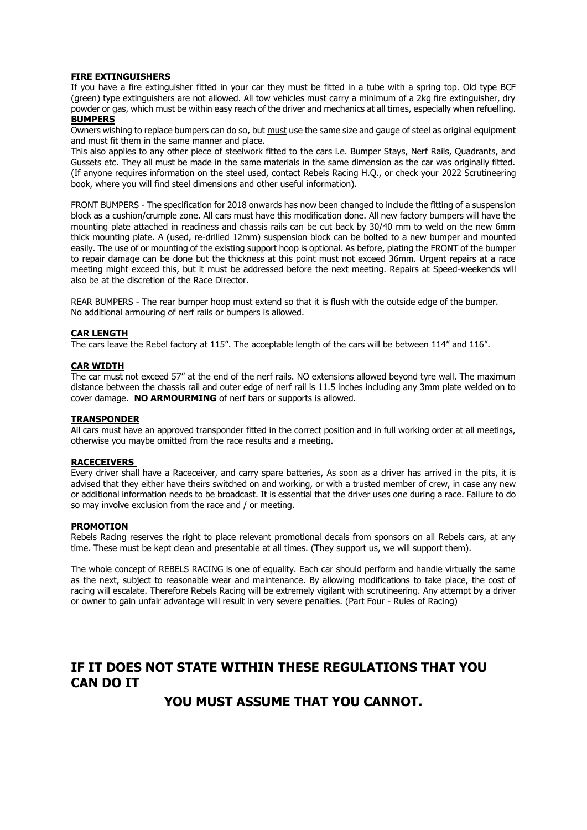#### **FIRE EXTINGUISHERS**

If you have a fire extinguisher fitted in your car they must be fitted in a tube with a spring top. Old type BCF (green) type extinguishers are not allowed. All tow vehicles must carry a minimum of a 2kg fire extinguisher, dry powder or gas, which must be within easy reach of the driver and mechanics at all times, especially when refuelling. **BUMPERS**

Owners wishing to replace bumpers can do so, but must use the same size and gauge of steel as original equipment and must fit them in the same manner and place.

This also applies to any other piece of steelwork fitted to the cars i.e. Bumper Stays, Nerf Rails, Quadrants, and Gussets etc. They all must be made in the same materials in the same dimension as the car was originally fitted. (If anyone requires information on the steel used, contact Rebels Racing H.Q., or check your 2022 Scrutineering book, where you will find steel dimensions and other useful information).

FRONT BUMPERS - The specification for 2018 onwards has now been changed to include the fitting of a suspension block as a cushion/crumple zone. All cars must have this modification done. All new factory bumpers will have the mounting plate attached in readiness and chassis rails can be cut back by 30/40 mm to weld on the new 6mm thick mounting plate. A (used, re-drilled 12mm) suspension block can be bolted to a new bumper and mounted easily. The use of or mounting of the existing support hoop is optional. As before, plating the FRONT of the bumper to repair damage can be done but the thickness at this point must not exceed 36mm. Urgent repairs at a race meeting might exceed this, but it must be addressed before the next meeting. Repairs at Speed-weekends will also be at the discretion of the Race Director.

REAR BUMPERS - The rear bumper hoop must extend so that it is flush with the outside edge of the bumper. No additional armouring of nerf rails or bumpers is allowed.

#### **CAR LENGTH**

The cars leave the Rebel factory at 115". The acceptable length of the cars will be between 114" and 116".

#### **CAR WIDTH**

The car must not exceed 57" at the end of the nerf rails. NO extensions allowed beyond tyre wall. The maximum distance between the chassis rail and outer edge of nerf rail is 11.5 inches including any 3mm plate welded on to cover damage. **NO ARMOURMING** of nerf bars or supports is allowed.

#### **TRANSPONDER**

All cars must have an approved transponder fitted in the correct position and in full working order at all meetings, otherwise you maybe omitted from the race results and a meeting.

#### **RACECEIVERS**

Every driver shall have a Raceceiver, and carry spare batteries, As soon as a driver has arrived in the pits, it is advised that they either have theirs switched on and working, or with a trusted member of crew, in case any new or additional information needs to be broadcast. It is essential that the driver uses one during a race. Failure to do so may involve exclusion from the race and / or meeting.

#### **PROMOTION**

Rebels Racing reserves the right to place relevant promotional decals from sponsors on all Rebels cars, at any time. These must be kept clean and presentable at all times. (They support us, we will support them).

The whole concept of REBELS RACING is one of equality. Each car should perform and handle virtually the same as the next, subject to reasonable wear and maintenance. By allowing modifications to take place, the cost of racing will escalate. Therefore Rebels Racing will be extremely vigilant with scrutineering. Any attempt by a driver or owner to gain unfair advantage will result in very severe penalties. (Part Four - Rules of Racing)

# **IF IT DOES NOT STATE WITHIN THESE REGULATIONS THAT YOU CAN DO IT**

# **YOU MUST ASSUME THAT YOU CANNOT.**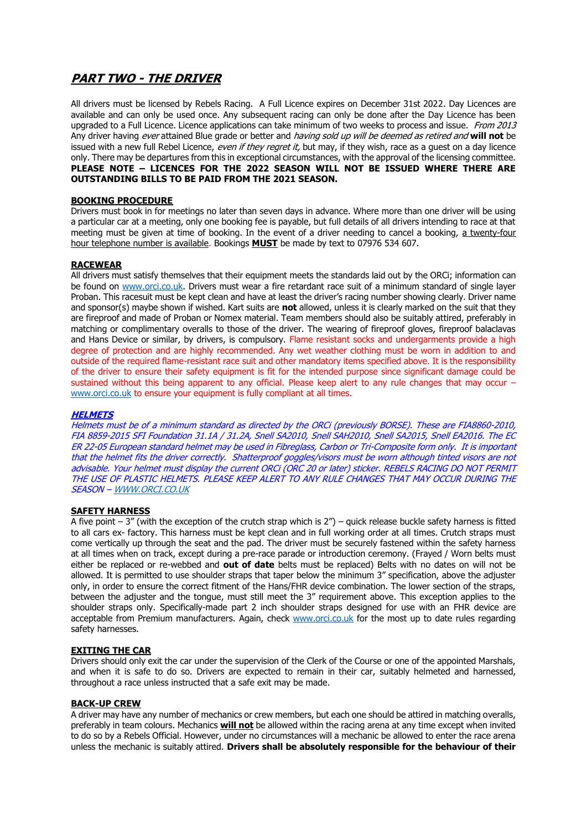# **PART TWO - THE DRIVER**

All drivers must be licensed by Rebels Racing. A Full Licence expires on December 31st 2022. Day Licences are available and can only be used once. Any subsequent racing can only be done after the Day Licence has been upgraded to a Full Licence. Licence applications can take minimum of two weeks to process and issue. From 2013 Any driver having ever attained Blue grade or better and having sold up will be deemed as retired and **will not** be issued with a new full Rebel Licence, even if they regret it, but may, if they wish, race as a quest on a day licence only. There may be departures from this in exceptional circumstances, with the approval of the licensing committee. **PLEASE NOTE – LICENCES FOR THE 2022 SEASON WILL NOT BE ISSUED WHERE THERE ARE OUTSTANDING BILLS TO BE PAID FROM THE 2021 SEASON.**

# **BOOKING PROCEDURE**

Drivers must book in for meetings no later than seven days in advance. Where more than one driver will be using a particular car at a meeting, only one booking fee is payable, but full details of all drivers intending to race at that meeting must be given at time of booking. In the event of a driver needing to cancel a booking, a twenty-four hour telephone number is available. Bookings **MUST** be made by text to 07976 534 607.

# **RACEWEAR**

All drivers must satisfy themselves that their equipment meets the standards laid out by the ORCi; information can be found on [www.orci.co.uk.](http://www.orci.co.uk/) Drivers must wear a fire retardant race suit of a minimum standard of single layer Proban. This racesuit must be kept clean and have at least the driver's racing number showing clearly. Driver name and sponsor(s) maybe shown if wished. Kart suits are **not** allowed, unless it is clearly marked on the suit that they are fireproof and made of Proban or Nomex material. Team members should also be suitably attired, preferably in matching or complimentary overalls to those of the driver. The wearing of fireproof gloves, fireproof balaclavas and Hans Device or similar, by drivers, is compulsory. Flame resistant socks and undergarments provide a high degree of protection and are highly recommended. Any wet weather clothing must be worn in addition to and outside of the required flame-resistant race suit and other mandatory items specified above. It is the responsibility of the driver to ensure their safety equipment is fit for the intended purpose since significant damage could be sustained without this being apparent to any official. Please keep alert to any rule changes that may occur – [www.orci.co.uk](http://www.orci.co.uk/) to ensure your equipment is fully compliant at all times.

### **HELMETS**

Helmets must be of a minimum standard as directed by the ORCi (previously BORSE). These are FIA8860-2010, FIA 8859-2015 SFI Foundation 31.1A / 31.2A, Snell SA2010, Snell SAH2010, Snell SA2015, Snell EA2016. The EC ER 22-05 European standard helmet may be used in Fibreglass, Carbon or Tri-Composite form only. It is important that the helmet fits the driver correctly. Shatterproof goggles/visors must be worn although tinted visors are not advisable. Your helmet must display the current ORCi (ORC 20 or later) sticker. REBELS RACING DO NOT PERMIT THE USE OF PLASTIC HELMETS. PLEASE KEEP ALERT TO ANY RULE CHANGES THAT MAY OCCUR DURING THE SEASON – [WWW.ORCI.CO.UK](http://www.orci.co.uk/)

# **SAFETY HARNESS**

A five point  $-3$ " (with the exception of the crutch strap which is  $2"$ ) – quick release buckle safety harness is fitted to all cars ex- factory. This harness must be kept clean and in full working order at all times. Crutch straps must come vertically up through the seat and the pad. The driver must be securely fastened within the safety harness at all times when on track, except during a pre-race parade or introduction ceremony. (Frayed / Worn belts must either be replaced or re-webbed and **out of date** belts must be replaced) Belts with no dates on will not be allowed. It is permitted to use shoulder straps that taper below the minimum 3" specification, above the adjuster only, in order to ensure the correct fitment of the Hans/FHR device combination. The lower section of the straps, between the adjuster and the tongue, must still meet the 3" requirement above. This exception applies to the shoulder straps only. Specifically-made part 2 inch shoulder straps designed for use with an FHR device are acceptable from Premium manufacturers. Again, check [www.orci.co.uk](http://www.orci.co.uk/) for the most up to date rules regarding safety harnesses.

# **EXITING THE CAR**

Drivers should only exit the car under the supervision of the Clerk of the Course or one of the appointed Marshals, and when it is safe to do so. Drivers are expected to remain in their car, suitably helmeted and harnessed, throughout a race unless instructed that a safe exit may be made.

# **BACK-UP CREW**

A driver may have any number of mechanics or crew members, but each one should be attired in matching overalls, preferably in team colours. Mechanics **will not** be allowed within the racing arena at any time except when invited to do so by a Rebels Official. However, under no circumstances will a mechanic be allowed to enter the race arena unless the mechanic is suitably attired. **Drivers shall be absolutely responsible for the behaviour of their**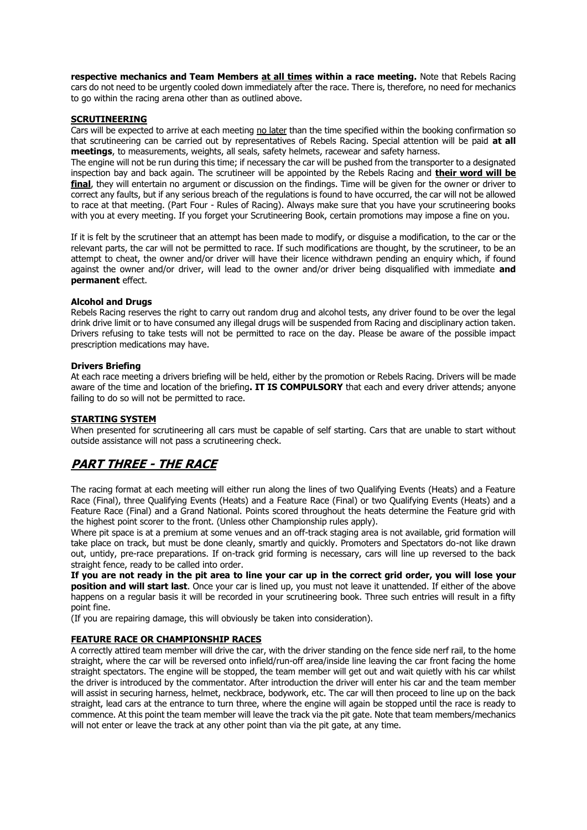**respective mechanics and Team Members at all times within a race meeting.** Note that Rebels Racing cars do not need to be urgently cooled down immediately after the race. There is, therefore, no need for mechanics to go within the racing arena other than as outlined above.

#### **SCRUTINEERING**

Cars will be expected to arrive at each meeting no later than the time specified within the booking confirmation so that scrutineering can be carried out by representatives of Rebels Racing. Special attention will be paid **at all meetings**, to measurements, weights, all seals, safety helmets, racewear and safety harness.

The engine will not be run during this time; if necessary the car will be pushed from the transporter to a designated inspection bay and back again. The scrutineer will be appointed by the Rebels Racing and **their word will be final**, they will entertain no argument or discussion on the findings. Time will be given for the owner or driver to correct any faults, but if any serious breach of the regulations is found to have occurred, the car will not be allowed to race at that meeting. (Part Four - Rules of Racing). Always make sure that you have your scrutineering books with you at every meeting. If you forget your Scrutineering Book, certain promotions may impose a fine on you.

If it is felt by the scrutineer that an attempt has been made to modify, or disguise a modification, to the car or the relevant parts, the car will not be permitted to race. If such modifications are thought, by the scrutineer, to be an attempt to cheat, the owner and/or driver will have their licence withdrawn pending an enquiry which, if found against the owner and/or driver, will lead to the owner and/or driver being disqualified with immediate **and permanent** effect.

#### **Alcohol and Drugs**

Rebels Racing reserves the right to carry out random drug and alcohol tests, any driver found to be over the legal drink drive limit or to have consumed any illegal drugs will be suspended from Racing and disciplinary action taken. Drivers refusing to take tests will not be permitted to race on the day. Please be aware of the possible impact prescription medications may have.

#### **Drivers Briefing**

At each race meeting a drivers briefing will be held, either by the promotion or Rebels Racing. Drivers will be made aware of the time and location of the briefing**. IT IS COMPULSORY** that each and every driver attends; anyone failing to do so will not be permitted to race.

# **STARTING SYSTEM**

When presented for scrutineering all cars must be capable of self starting. Cars that are unable to start without outside assistance will not pass a scrutineering check.

# **PART THREE - THE RACE**

The racing format at each meeting will either run along the lines of two Qualifying Events (Heats) and a Feature Race (Final), three Qualifying Events (Heats) and a Feature Race (Final) or two Qualifying Events (Heats) and a Feature Race (Final) and a Grand National. Points scored throughout the heats determine the Feature grid with the highest point scorer to the front. (Unless other Championship rules apply).

Where pit space is at a premium at some venues and an off-track staging area is not available, grid formation will take place on track, but must be done cleanly, smartly and quickly. Promoters and Spectators do-not like drawn out, untidy, pre-race preparations. If on-track grid forming is necessary, cars will line up reversed to the back straight fence, ready to be called into order.

**If you are not ready in the pit area to line your car up in the correct grid order, you will lose your position and will start last**. Once your car is lined up, you must not leave it unattended. If either of the above happens on a regular basis it will be recorded in your scrutineering book. Three such entries will result in a fifty point fine.

(If you are repairing damage, this will obviously be taken into consideration).

#### **FEATURE RACE OR CHAMPIONSHIP RACES**

A correctly attired team member will drive the car, with the driver standing on the fence side nerf rail, to the home straight, where the car will be reversed onto infield/run-off area/inside line leaving the car front facing the home straight spectators. The engine will be stopped, the team member will get out and wait quietly with his car whilst the driver is introduced by the commentator. After introduction the driver will enter his car and the team member will assist in securing harness, helmet, neckbrace, bodywork, etc. The car will then proceed to line up on the back straight, lead cars at the entrance to turn three, where the engine will again be stopped until the race is ready to commence. At this point the team member will leave the track via the pit gate. Note that team members/mechanics will not enter or leave the track at any other point than via the pit gate, at any time.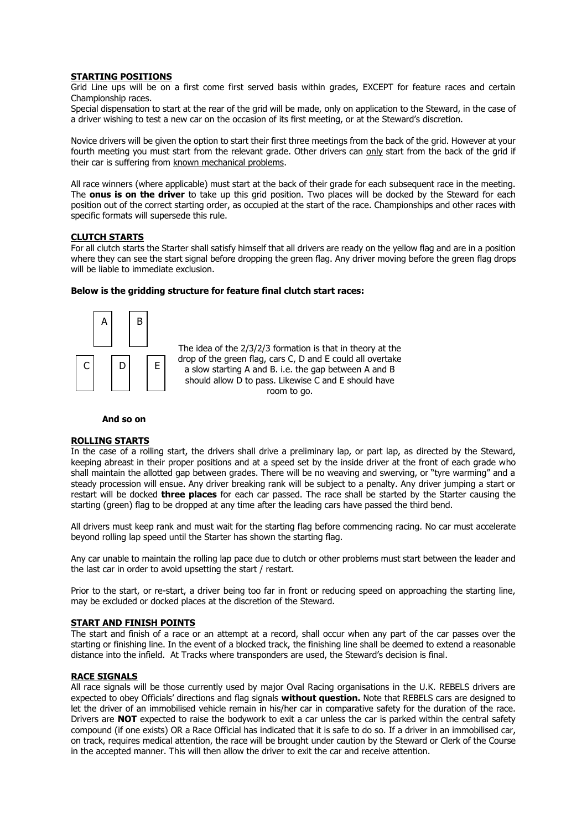### **STARTING POSITIONS**

Grid Line ups will be on a first come first served basis within grades, EXCEPT for feature races and certain Championship races.

Special dispensation to start at the rear of the grid will be made, only on application to the Steward, in the case of a driver wishing to test a new car on the occasion of its first meeting, or at the Steward's discretion.

Novice drivers will be given the option to start their first three meetings from the back of the grid. However at your fourth meeting you must start from the relevant grade. Other drivers can only start from the back of the grid if their car is suffering from known mechanical problems.

All race winners (where applicable) must start at the back of their grade for each subsequent race in the meeting. The **onus is on the driver** to take up this grid position. Two places will be docked by the Steward for each position out of the correct starting order, as occupied at the start of the race. Championships and other races with specific formats will supersede this rule.

#### **CLUTCH STARTS**

For all clutch starts the Starter shall satisfy himself that all drivers are ready on the yellow flag and are in a position where they can see the start signal before dropping the green flag. Any driver moving before the green flag drops will be liable to immediate exclusion.

#### **Below is the gridding structure for feature final clutch start races:**



The idea of the 2/3/2/3 formation is that in theory at the drop of the green flag, cars C, D and E could all overtake a slow starting A and B. i.e. the gap between A and B should allow D to pass. Likewise C and E should have room to go.

#### **And so on**

#### **ROLLING STARTS**

In the case of a rolling start, the drivers shall drive a preliminary lap, or part lap, as directed by the Steward, keeping abreast in their proper positions and at a speed set by the inside driver at the front of each grade who shall maintain the allotted gap between grades. There will be no weaving and swerving, or "tyre warming" and a steady procession will ensue. Any driver breaking rank will be subject to a penalty. Any driver jumping a start or restart will be docked **three places** for each car passed. The race shall be started by the Starter causing the starting (green) flag to be dropped at any time after the leading cars have passed the third bend.

All drivers must keep rank and must wait for the starting flag before commencing racing. No car must accelerate beyond rolling lap speed until the Starter has shown the starting flag.

Any car unable to maintain the rolling lap pace due to clutch or other problems must start between the leader and the last car in order to avoid upsetting the start / restart.

Prior to the start, or re-start, a driver being too far in front or reducing speed on approaching the starting line, may be excluded or docked places at the discretion of the Steward.

#### **START AND FINISH POINTS**

The start and finish of a race or an attempt at a record, shall occur when any part of the car passes over the starting or finishing line. In the event of a blocked track, the finishing line shall be deemed to extend a reasonable distance into the infield. At Tracks where transponders are used, the Steward's decision is final.

#### **RACE SIGNALS**

All race signals will be those currently used by major Oval Racing organisations in the U.K. REBELS drivers are expected to obey Officials' directions and flag signals **without question.** Note that REBELS cars are designed to let the driver of an immobilised vehicle remain in his/her car in comparative safety for the duration of the race. Drivers are **NOT** expected to raise the bodywork to exit a car unless the car is parked within the central safety compound (if one exists) OR a Race Official has indicated that it is safe to do so. If a driver in an immobilised car, on track, requires medical attention, the race will be brought under caution by the Steward or Clerk of the Course in the accepted manner. This will then allow the driver to exit the car and receive attention.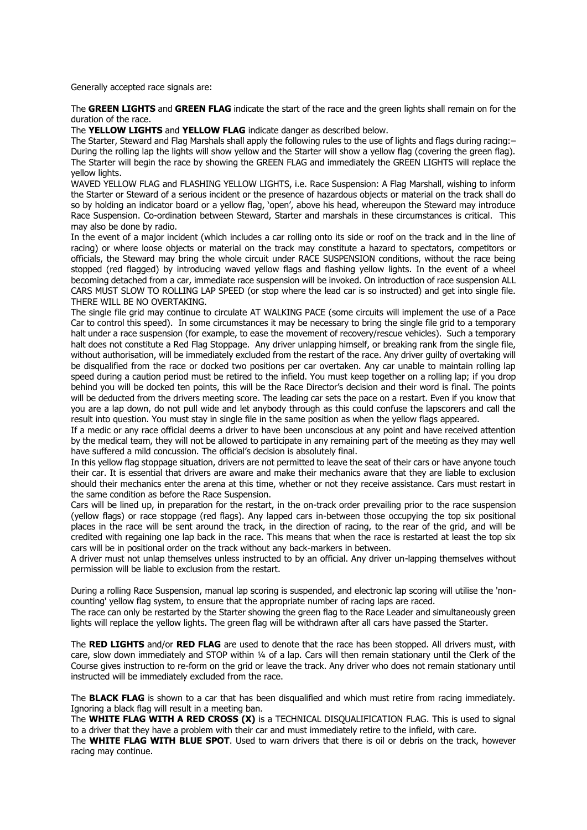Generally accepted race signals are:

The **GREEN LIGHTS** and **GREEN FLAG** indicate the start of the race and the green lights shall remain on for the duration of the race.

The **YELLOW LIGHTS** and **YELLOW FLAG** indicate danger as described below.

The Starter, Steward and Flag Marshals shall apply the following rules to the use of lights and flags during racing:– During the rolling lap the lights will show yellow and the Starter will show a yellow flag (covering the green flag). The Starter will begin the race by showing the GREEN FLAG and immediately the GREEN LIGHTS will replace the yellow lights.

WAVED YELLOW FLAG and FLASHING YELLOW LIGHTS, i.e. Race Suspension: A Flag Marshall, wishing to inform the Starter or Steward of a serious incident or the presence of hazardous objects or material on the track shall do so by holding an indicator board or a yellow flag, 'open', above his head, whereupon the Steward may introduce Race Suspension. Co-ordination between Steward, Starter and marshals in these circumstances is critical. This may also be done by radio.

In the event of a major incident (which includes a car rolling onto its side or roof on the track and in the line of racing) or where loose objects or material on the track may constitute a hazard to spectators, competitors or officials, the Steward may bring the whole circuit under RACE SUSPENSION conditions, without the race being stopped (red flagged) by introducing waved yellow flags and flashing yellow lights. In the event of a wheel becoming detached from a car, immediate race suspension will be invoked. On introduction of race suspension ALL CARS MUST SLOW TO ROLLING LAP SPEED (or stop where the lead car is so instructed) and get into single file. THERE WILL BE NO OVERTAKING.

The single file grid may continue to circulate AT WALKING PACE (some circuits will implement the use of a Pace Car to control this speed). In some circumstances it may be necessary to bring the single file grid to a temporary halt under a race suspension (for example, to ease the movement of recovery/rescue vehicles). Such a temporary halt does not constitute a Red Flag Stoppage. Any driver unlapping himself, or breaking rank from the single file, without authorisation, will be immediately excluded from the restart of the race. Any driver guilty of overtaking will be disqualified from the race or docked two positions per car overtaken. Any car unable to maintain rolling lap speed during a caution period must be retired to the infield. You must keep together on a rolling lap; if you drop behind you will be docked ten points, this will be the Race Director's decision and their word is final. The points will be deducted from the drivers meeting score. The leading car sets the pace on a restart. Even if you know that you are a lap down, do not pull wide and let anybody through as this could confuse the lapscorers and call the result into question. You must stay in single file in the same position as when the yellow flags appeared.

If a medic or any race official deems a driver to have been unconscious at any point and have received attention by the medical team, they will not be allowed to participate in any remaining part of the meeting as they may well have suffered a mild concussion. The official's decision is absolutely final.

In this yellow flag stoppage situation, drivers are not permitted to leave the seat of their cars or have anyone touch their car. It is essential that drivers are aware and make their mechanics aware that they are liable to exclusion should their mechanics enter the arena at this time, whether or not they receive assistance. Cars must restart in the same condition as before the Race Suspension.

Cars will be lined up, in preparation for the restart, in the on-track order prevailing prior to the race suspension (yellow flags) or race stoppage (red flags). Any lapped cars in-between those occupying the top six positional places in the race will be sent around the track, in the direction of racing, to the rear of the grid, and will be credited with regaining one lap back in the race. This means that when the race is restarted at least the top six cars will be in positional order on the track without any back-markers in between.

A driver must not unlap themselves unless instructed to by an official. Any driver un-lapping themselves without permission will be liable to exclusion from the restart.

During a rolling Race Suspension, manual lap scoring is suspended, and electronic lap scoring will utilise the 'noncounting' yellow flag system, to ensure that the appropriate number of racing laps are raced.

The race can only be restarted by the Starter showing the green flag to the Race Leader and simultaneously green lights will replace the yellow lights. The green flag will be withdrawn after all cars have passed the Starter.

The **RED LIGHTS** and/or **RED FLAG** are used to denote that the race has been stopped. All drivers must, with care, slow down immediately and STOP within ¼ of a lap. Cars will then remain stationary until the Clerk of the Course gives instruction to re-form on the grid or leave the track. Any driver who does not remain stationary until instructed will be immediately excluded from the race.

The **BLACK FLAG** is shown to a car that has been disqualified and which must retire from racing immediately. Ignoring a black flag will result in a meeting ban.

The **WHITE FLAG WITH A RED CROSS (X)** is a TECHNICAL DISQUALIFICATION FLAG. This is used to signal to a driver that they have a problem with their car and must immediately retire to the infield, with care.

The **WHITE FLAG WITH BLUE SPOT**. Used to warn drivers that there is oil or debris on the track, however racing may continue.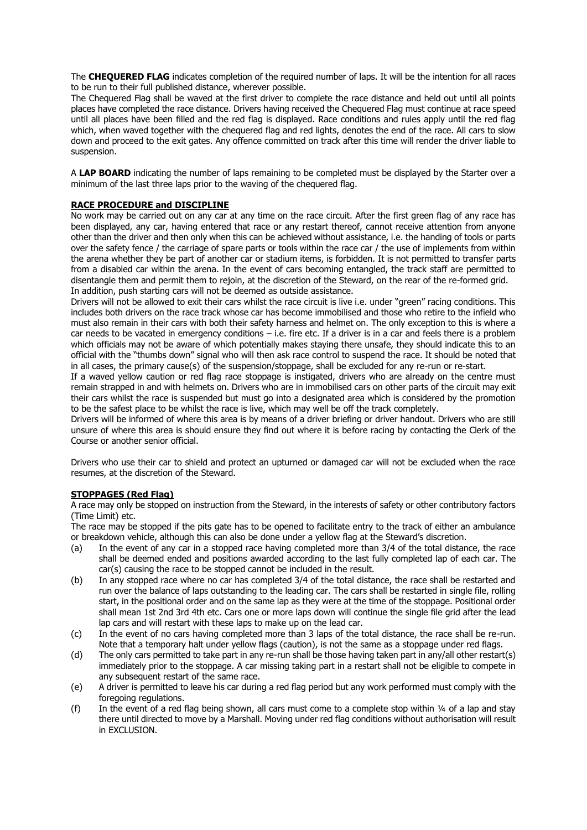The **CHEQUERED FLAG** indicates completion of the required number of laps. It will be the intention for all races to be run to their full published distance, wherever possible.

The Chequered Flag shall be waved at the first driver to complete the race distance and held out until all points places have completed the race distance. Drivers having received the Chequered Flag must continue at race speed until all places have been filled and the red flag is displayed. Race conditions and rules apply until the red flag which, when waved together with the chequered flag and red lights, denotes the end of the race. All cars to slow down and proceed to the exit gates. Any offence committed on track after this time will render the driver liable to suspension.

A **LAP BOARD** indicating the number of laps remaining to be completed must be displayed by the Starter over a minimum of the last three laps prior to the waving of the chequered flag.

### **RACE PROCEDURE and DISCIPLINE**

No work may be carried out on any car at any time on the race circuit. After the first green flag of any race has been displayed, any car, having entered that race or any restart thereof, cannot receive attention from anyone other than the driver and then only when this can be achieved without assistance, i.e. the handing of tools or parts over the safety fence / the carriage of spare parts or tools within the race car / the use of implements from within the arena whether they be part of another car or stadium items, is forbidden. It is not permitted to transfer parts from a disabled car within the arena. In the event of cars becoming entangled, the track staff are permitted to disentangle them and permit them to rejoin, at the discretion of the Steward, on the rear of the re-formed grid. In addition, push starting cars will not be deemed as outside assistance.

Drivers will not be allowed to exit their cars whilst the race circuit is live i.e. under "green" racing conditions. This includes both drivers on the race track whose car has become immobilised and those who retire to the infield who must also remain in their cars with both their safety harness and helmet on. The only exception to this is where a car needs to be vacated in emergency conditions – i.e. fire etc. If a driver is in a car and feels there is a problem which officials may not be aware of which potentially makes staying there unsafe, they should indicate this to an official with the "thumbs down" signal who will then ask race control to suspend the race. It should be noted that in all cases, the primary cause(s) of the suspension/stoppage, shall be excluded for any re-run or re-start.

If a waved yellow caution or red flag race stoppage is instigated, drivers who are already on the centre must remain strapped in and with helmets on. Drivers who are in immobilised cars on other parts of the circuit may exit their cars whilst the race is suspended but must go into a designated area which is considered by the promotion to be the safest place to be whilst the race is live, which may well be off the track completely.

Drivers will be informed of where this area is by means of a driver briefing or driver handout. Drivers who are still unsure of where this area is should ensure they find out where it is before racing by contacting the Clerk of the Course or another senior official.

Drivers who use their car to shield and protect an upturned or damaged car will not be excluded when the race resumes, at the discretion of the Steward.

# **STOPPAGES (Red Flag)**

A race may only be stopped on instruction from the Steward, in the interests of safety or other contributory factors (Time Limit) etc.

The race may be stopped if the pits gate has to be opened to facilitate entry to the track of either an ambulance or breakdown vehicle, although this can also be done under a yellow flag at the Steward's discretion.

- (a) In the event of any car in a stopped race having completed more than 3/4 of the total distance, the race shall be deemed ended and positions awarded according to the last fully completed lap of each car. The car(s) causing the race to be stopped cannot be included in the result.
- (b) In any stopped race where no car has completed 3/4 of the total distance, the race shall be restarted and run over the balance of laps outstanding to the leading car. The cars shall be restarted in single file, rolling start, in the positional order and on the same lap as they were at the time of the stoppage. Positional order shall mean 1st 2nd 3rd 4th etc. Cars one or more laps down will continue the single file grid after the lead lap cars and will restart with these laps to make up on the lead car.
- (c) In the event of no cars having completed more than 3 laps of the total distance, the race shall be re-run. Note that a temporary halt under yellow flags (caution), is not the same as a stoppage under red flags.
- (d) The only cars permitted to take part in any re-run shall be those having taken part in any/all other restart(s) immediately prior to the stoppage. A car missing taking part in a restart shall not be eligible to compete in any subsequent restart of the same race.
- (e) A driver is permitted to leave his car during a red flag period but any work performed must comply with the foregoing regulations.
- (f) In the event of a red flag being shown, all cars must come to a complete stop within ¼ of a lap and stay there until directed to move by a Marshall. Moving under red flag conditions without authorisation will result in EXCLUSION.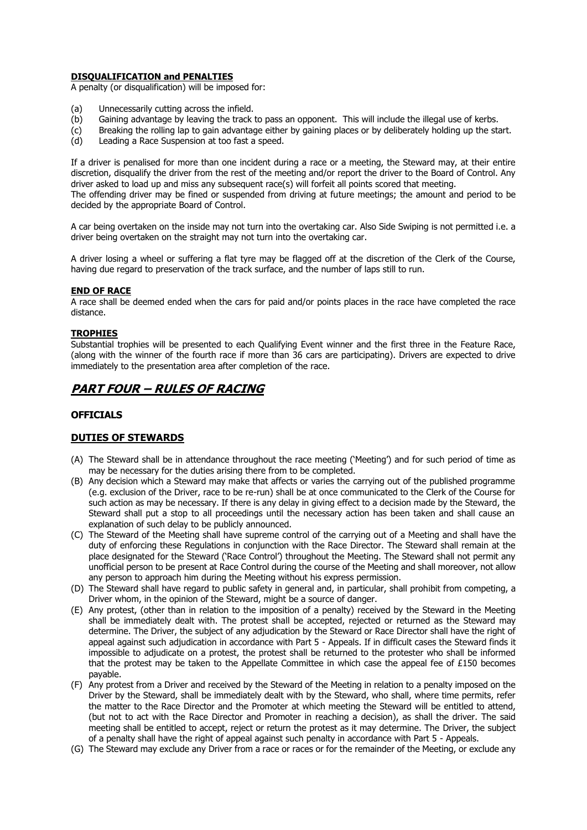# **DISQUALIFICATION and PENALTIES**

A penalty (or disqualification) will be imposed for:

- (a) Unnecessarily cutting across the infield.
- (b) Gaining advantage by leaving the track to pass an opponent. This will include the illegal use of kerbs.
- (c) Breaking the rolling lap to gain advantage either by gaining places or by deliberately holding up the start.
- (d) Leading a Race Suspension at too fast a speed.

If a driver is penalised for more than one incident during a race or a meeting, the Steward may, at their entire discretion, disqualify the driver from the rest of the meeting and/or report the driver to the Board of Control. Any driver asked to load up and miss any subsequent race(s) will forfeit all points scored that meeting. The offending driver may be fined or suspended from driving at future meetings; the amount and period to be decided by the appropriate Board of Control.

A car being overtaken on the inside may not turn into the overtaking car. Also Side Swiping is not permitted i.e. a driver being overtaken on the straight may not turn into the overtaking car.

A driver losing a wheel or suffering a flat tyre may be flagged off at the discretion of the Clerk of the Course, having due regard to preservation of the track surface, and the number of laps still to run.

#### **END OF RACE**

A race shall be deemed ended when the cars for paid and/or points places in the race have completed the race distance.

#### **TROPHIES**

Substantial trophies will be presented to each Qualifying Event winner and the first three in the Feature Race, (along with the winner of the fourth race if more than 36 cars are participating). Drivers are expected to drive immediately to the presentation area after completion of the race.

# **PART FOUR – RULES OF RACING**

# **OFFICIALS**

# **DUTIES OF STEWARDS**

- (A) The Steward shall be in attendance throughout the race meeting ('Meeting') and for such period of time as may be necessary for the duties arising there from to be completed.
- (B) Any decision which a Steward may make that affects or varies the carrying out of the published programme (e.g. exclusion of the Driver, race to be re-run) shall be at once communicated to the Clerk of the Course for such action as may be necessary. If there is any delay in giving effect to a decision made by the Steward, the Steward shall put a stop to all proceedings until the necessary action has been taken and shall cause an explanation of such delay to be publicly announced.
- (C) The Steward of the Meeting shall have supreme control of the carrying out of a Meeting and shall have the duty of enforcing these Regulations in conjunction with the Race Director. The Steward shall remain at the place designated for the Steward ('Race Control') throughout the Meeting. The Steward shall not permit any unofficial person to be present at Race Control during the course of the Meeting and shall moreover, not allow any person to approach him during the Meeting without his express permission.
- (D) The Steward shall have regard to public safety in general and, in particular, shall prohibit from competing, a Driver whom, in the opinion of the Steward, might be a source of danger.
- (E) Any protest, (other than in relation to the imposition of a penalty) received by the Steward in the Meeting shall be immediately dealt with. The protest shall be accepted, rejected or returned as the Steward may determine. The Driver, the subject of any adjudication by the Steward or Race Director shall have the right of appeal against such adjudication in accordance with Part 5 - Appeals. If in difficult cases the Steward finds it impossible to adjudicate on a protest, the protest shall be returned to the protester who shall be informed that the protest may be taken to the Appellate Committee in which case the appeal fee of £150 becomes payable.
- (F) Any protest from a Driver and received by the Steward of the Meeting in relation to a penalty imposed on the Driver by the Steward, shall be immediately dealt with by the Steward, who shall, where time permits, refer the matter to the Race Director and the Promoter at which meeting the Steward will be entitled to attend, (but not to act with the Race Director and Promoter in reaching a decision), as shall the driver. The said meeting shall be entitled to accept, reject or return the protest as it may determine. The Driver, the subject of a penalty shall have the right of appeal against such penalty in accordance with Part 5 - Appeals.
- (G) The Steward may exclude any Driver from a race or races or for the remainder of the Meeting, or exclude any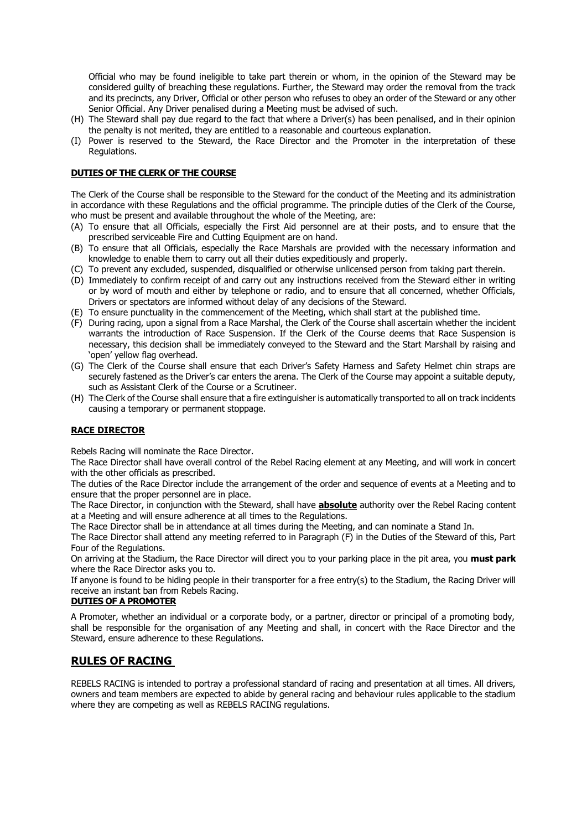Official who may be found ineligible to take part therein or whom, in the opinion of the Steward may be considered guilty of breaching these regulations. Further, the Steward may order the removal from the track and its precincts, any Driver, Official or other person who refuses to obey an order of the Steward or any other Senior Official. Any Driver penalised during a Meeting must be advised of such.

- (H) The Steward shall pay due regard to the fact that where a Driver(s) has been penalised, and in their opinion the penalty is not merited, they are entitled to a reasonable and courteous explanation.
- (I) Power is reserved to the Steward, the Race Director and the Promoter in the interpretation of these Regulations.

### **DUTIES OF THE CLERK OF THE COURSE**

The Clerk of the Course shall be responsible to the Steward for the conduct of the Meeting and its administration in accordance with these Regulations and the official programme. The principle duties of the Clerk of the Course, who must be present and available throughout the whole of the Meeting, are:

- (A) To ensure that all Officials, especially the First Aid personnel are at their posts, and to ensure that the prescribed serviceable Fire and Cutting Equipment are on hand.
- (B) To ensure that all Officials, especially the Race Marshals are provided with the necessary information and knowledge to enable them to carry out all their duties expeditiously and properly.
- (C) To prevent any excluded, suspended, disqualified or otherwise unlicensed person from taking part therein.
- (D) Immediately to confirm receipt of and carry out any instructions received from the Steward either in writing or by word of mouth and either by telephone or radio, and to ensure that all concerned, whether Officials, Drivers or spectators are informed without delay of any decisions of the Steward.
- (E) To ensure punctuality in the commencement of the Meeting, which shall start at the published time.
- (F) During racing, upon a signal from a Race Marshal, the Clerk of the Course shall ascertain whether the incident warrants the introduction of Race Suspension. If the Clerk of the Course deems that Race Suspension is necessary, this decision shall be immediately conveyed to the Steward and the Start Marshall by raising and 'open' yellow flag overhead.
- (G) The Clerk of the Course shall ensure that each Driver's Safety Harness and Safety Helmet chin straps are securely fastened as the Driver's car enters the arena. The Clerk of the Course may appoint a suitable deputy, such as Assistant Clerk of the Course or a Scrutineer.
- (H) The Clerk of the Course shall ensure that a fire extinguisher is automatically transported to all on track incidents causing a temporary or permanent stoppage.

# **RACE DIRECTOR**

Rebels Racing will nominate the Race Director.

The Race Director shall have overall control of the Rebel Racing element at any Meeting, and will work in concert with the other officials as prescribed.

The duties of the Race Director include the arrangement of the order and sequence of events at a Meeting and to ensure that the proper personnel are in place.

The Race Director, in conjunction with the Steward, shall have **absolute** authority over the Rebel Racing content at a Meeting and will ensure adherence at all times to the Regulations.

The Race Director shall be in attendance at all times during the Meeting, and can nominate a Stand In.

The Race Director shall attend any meeting referred to in Paragraph (F) in the Duties of the Steward of this, Part Four of the Regulations.

On arriving at the Stadium, the Race Director will direct you to your parking place in the pit area, you **must park** where the Race Director asks you to.

If anyone is found to be hiding people in their transporter for a free entry(s) to the Stadium, the Racing Driver will receive an instant ban from Rebels Racing.

#### **DUTIES OF A PROMOTER**

A Promoter, whether an individual or a corporate body, or a partner, director or principal of a promoting body, shall be responsible for the organisation of any Meeting and shall, in concert with the Race Director and the Steward, ensure adherence to these Regulations.

# **RULES OF RACING**

REBELS RACING is intended to portray a professional standard of racing and presentation at all times. All drivers, owners and team members are expected to abide by general racing and behaviour rules applicable to the stadium where they are competing as well as REBELS RACING regulations.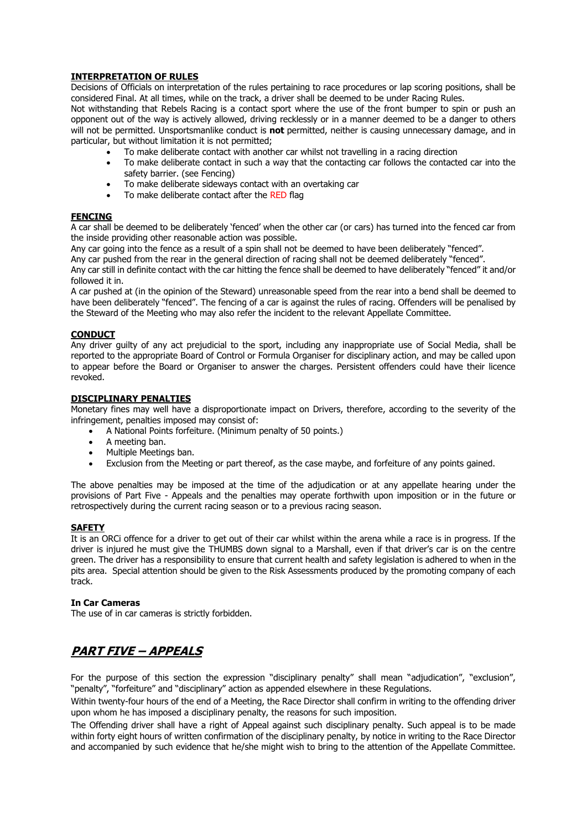# **INTERPRETATION OF RULES**

Decisions of Officials on interpretation of the rules pertaining to race procedures or lap scoring positions, shall be considered Final. At all times, while on the track, a driver shall be deemed to be under Racing Rules.

Not withstanding that Rebels Racing is a contact sport where the use of the front bumper to spin or push an opponent out of the way is actively allowed, driving recklessly or in a manner deemed to be a danger to others will not be permitted. Unsportsmanlike conduct is **not** permitted, neither is causing unnecessary damage, and in particular, but without limitation it is not permitted;

- To make deliberate contact with another car whilst not travelling in a racing direction
- To make deliberate contact in such a way that the contacting car follows the contacted car into the safety barrier. (see Fencing)
- To make deliberate sideways contact with an overtaking car
- To make deliberate contact after the RED flag

# **FENCING**

A car shall be deemed to be deliberately 'fenced' when the other car (or cars) has turned into the fenced car from the inside providing other reasonable action was possible.

Any car going into the fence as a result of a spin shall not be deemed to have been deliberately "fenced".

Any car pushed from the rear in the general direction of racing shall not be deemed deliberately "fenced".

Any car still in definite contact with the car hitting the fence shall be deemed to have deliberately "fenced" it and/or followed it in.

A car pushed at (in the opinion of the Steward) unreasonable speed from the rear into a bend shall be deemed to have been deliberately "fenced". The fencing of a car is against the rules of racing. Offenders will be penalised by the Steward of the Meeting who may also refer the incident to the relevant Appellate Committee.

# **CONDUCT**

Any driver guilty of any act prejudicial to the sport, including any inappropriate use of Social Media, shall be reported to the appropriate Board of Control or Formula Organiser for disciplinary action, and may be called upon to appear before the Board or Organiser to answer the charges. Persistent offenders could have their licence revoked.

#### **DISCIPLINARY PENALTIES**

Monetary fines may well have a disproportionate impact on Drivers, therefore, according to the severity of the infringement, penalties imposed may consist of:

- A National Points forfeiture. (Minimum penalty of 50 points.)
- A meeting ban.
- Multiple Meetings ban.
- Exclusion from the Meeting or part thereof, as the case maybe, and forfeiture of any points gained.

The above penalties may be imposed at the time of the adjudication or at any appellate hearing under the provisions of Part Five - Appeals and the penalties may operate forthwith upon imposition or in the future or retrospectively during the current racing season or to a previous racing season.

# **SAFETY**

It is an ORCi offence for a driver to get out of their car whilst within the arena while a race is in progress. If the driver is injured he must give the THUMBS down signal to a Marshall, even if that driver's car is on the centre green. The driver has a responsibility to ensure that current health and safety legislation is adhered to when in the pits area. Special attention should be given to the Risk Assessments produced by the promoting company of each track.

#### **In Car Cameras**

The use of in car cameras is strictly forbidden.

# **PART FIVE – APPEALS**

For the purpose of this section the expression "disciplinary penalty" shall mean "adjudication", "exclusion", "penalty", "forfeiture" and "disciplinary" action as appended elsewhere in these Regulations.

Within twenty-four hours of the end of a Meeting, the Race Director shall confirm in writing to the offending driver upon whom he has imposed a disciplinary penalty, the reasons for such imposition.

The Offending driver shall have a right of Appeal against such disciplinary penalty. Such appeal is to be made within forty eight hours of written confirmation of the disciplinary penalty, by notice in writing to the Race Director and accompanied by such evidence that he/she might wish to bring to the attention of the Appellate Committee.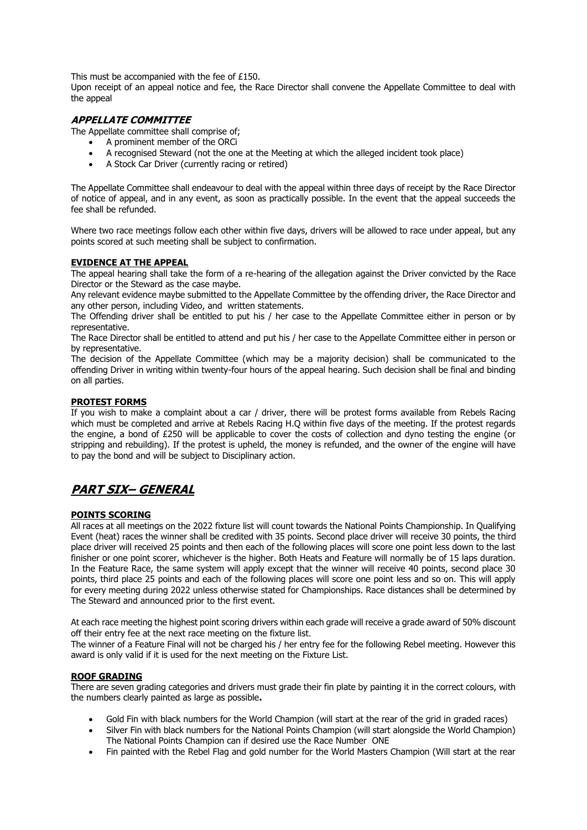This must be accompanied with the fee of £150.

Upon receipt of an appeal notice and fee, the Race Director shall convene the Appellate Committee to deal with the appeal

# **APPELLATE COMMITTEE**

The Appellate committee shall comprise of;

- A prominent member of the ORCi
- A recognised Steward (not the one at the Meeting at which the alleged incident took place)
- A Stock Car Driver (currently racing or retired)

The Appellate Committee shall endeavour to deal with the appeal within three days of receipt by the Race Director of notice of appeal, and in any event, as soon as practically possible. In the event that the appeal succeeds the fee shall be refunded.

Where two race meetings follow each other within five days, drivers will be allowed to race under appeal, but any points scored at such meeting shall be subject to confirmation.

# **EVIDENCE AT THE APPEAL**

The appeal hearing shall take the form of a re-hearing of the allegation against the Driver convicted by the Race Director or the Steward as the case maybe.

Any relevant evidence maybe submitted to the Appellate Committee by the offending driver, the Race Director and any other person, including Video, and written statements.

The Offending driver shall be entitled to put his / her case to the Appellate Committee either in person or by representative.

The Race Director shall be entitled to attend and put his / her case to the Appellate Committee either in person or by representative.

The decision of the Appellate Committee (which may be a majority decision) shall be communicated to the offending Driver in writing within twenty-four hours of the appeal hearing. Such decision shall be final and binding on all parties.

# **PROTEST FORMS**

If you wish to make a complaint about a car / driver, there will be protest forms available from Rebels Racing which must be completed and arrive at Rebels Racing H.Q within five days of the meeting. If the protest regards the engine, a bond of £250 will be applicable to cover the costs of collection and dyno testing the engine (or stripping and rebuilding). If the protest is upheld, the money is refunded, and the owner of the engine will have to pay the bond and will be subject to Disciplinary action.

# **PART SIX– GENERAL**

#### **POINTS SCORING**

All races at all meetings on the 2022 fixture list will count towards the National Points Championship. In Qualifying Event (heat) races the winner shall be credited with 35 points. Second place driver will receive 30 points, the third place driver will received 25 points and then each of the following places will score one point less down to the last finisher or one point scorer, whichever is the higher. Both Heats and Feature will normally be of 15 laps duration. In the Feature Race, the same system will apply except that the winner will receive 40 points, second place 30 points, third place 25 points and each of the following places will score one point less and so on. This will apply for every meeting during 2022 unless otherwise stated for Championships. Race distances shall be determined by The Steward and announced prior to the first event.

At each race meeting the highest point scoring drivers within each grade will receive a grade award of 50% discount off their entry fee at the next race meeting on the fixture list.

The winner of a Feature Final will not be charged his / her entry fee for the following Rebel meeting. However this award is only valid if it is used for the next meeting on the Fixture List.

#### **ROOF GRADING**

There are seven grading categories and drivers must grade their fin plate by painting it in the correct colours, with the numbers clearly painted as large as possible**.**

- Gold Fin with black numbers for the World Champion (will start at the rear of the grid in graded races)
- Silver Fin with black numbers for the National Points Champion (will start alongside the World Champion) The National Points Champion can if desired use the Race Number ONE
- Fin painted with the Rebel Flag and gold number for the World Masters Champion (Will start at the rear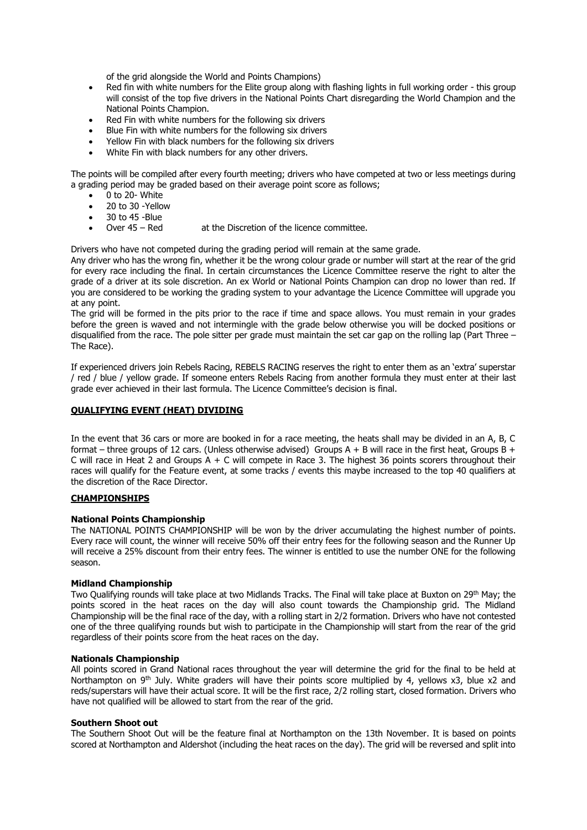of the grid alongside the World and Points Champions)

- Red fin with white numbers for the Elite group along with flashing lights in full working order this group will consist of the top five drivers in the National Points Chart disregarding the World Champion and the National Points Champion.
- Red Fin with white numbers for the following six drivers
- Blue Fin with white numbers for the following six drivers
- Yellow Fin with black numbers for the following six drivers
- White Fin with black numbers for any other drivers.

The points will be compiled after every fourth meeting; drivers who have competed at two or less meetings during a grading period may be graded based on their average point score as follows;

- 0 to 20- White
- 20 to 30 -Yellow
- 30 to 45 -Blue
- Over 45 Red at the Discretion of the licence committee.

Drivers who have not competed during the grading period will remain at the same grade.

Any driver who has the wrong fin, whether it be the wrong colour grade or number will start at the rear of the grid for every race including the final. In certain circumstances the Licence Committee reserve the right to alter the grade of a driver at its sole discretion. An ex World or National Points Champion can drop no lower than red. If you are considered to be working the grading system to your advantage the Licence Committee will upgrade you at any point.

The grid will be formed in the pits prior to the race if time and space allows. You must remain in your grades before the green is waved and not intermingle with the grade below otherwise you will be docked positions or disqualified from the race. The pole sitter per grade must maintain the set car gap on the rolling lap (Part Three – The Race).

If experienced drivers join Rebels Racing, REBELS RACING reserves the right to enter them as an 'extra' superstar / red / blue / yellow grade. If someone enters Rebels Racing from another formula they must enter at their last grade ever achieved in their last formula. The Licence Committee's decision is final.

# **QUALIFYING EVENT (HEAT) DIVIDING**

In the event that 36 cars or more are booked in for a race meeting, the heats shall may be divided in an A, B, C format – three groups of 12 cars. (Unless otherwise advised) Groups  $A + B$  will race in the first heat, Groups  $B +$ C will race in Heat 2 and Groups  $A + C$  will compete in Race 3. The highest 36 points scorers throughout their races will qualify for the Feature event, at some tracks / events this maybe increased to the top 40 qualifiers at the discretion of the Race Director.

# **CHAMPIONSHIPS**

# **National Points Championship**

The NATIONAL POINTS CHAMPIONSHIP will be won by the driver accumulating the highest number of points. Every race will count, the winner will receive 50% off their entry fees for the following season and the Runner Up will receive a 25% discount from their entry fees. The winner is entitled to use the number ONE for the following season.

# **Midland Championship**

Two Qualifying rounds will take place at two Midlands Tracks. The Final will take place at Buxton on 29th May; the points scored in the heat races on the day will also count towards the Championship grid. The Midland Championship will be the final race of the day, with a rolling start in 2/2 formation. Drivers who have not contested one of the three qualifying rounds but wish to participate in the Championship will start from the rear of the grid regardless of their points score from the heat races on the day.

# **Nationals Championship**

All points scored in Grand National races throughout the year will determine the grid for the final to be held at Northampton on 9<sup>th</sup> July. White graders will have their points score multiplied by 4, yellows x3, blue x2 and reds/superstars will have their actual score. It will be the first race, 2/2 rolling start, closed formation. Drivers who have not qualified will be allowed to start from the rear of the grid.

#### **Southern Shoot out**

The Southern Shoot Out will be the feature final at Northampton on the 13th November. It is based on points scored at Northampton and Aldershot (including the heat races on the day). The grid will be reversed and split into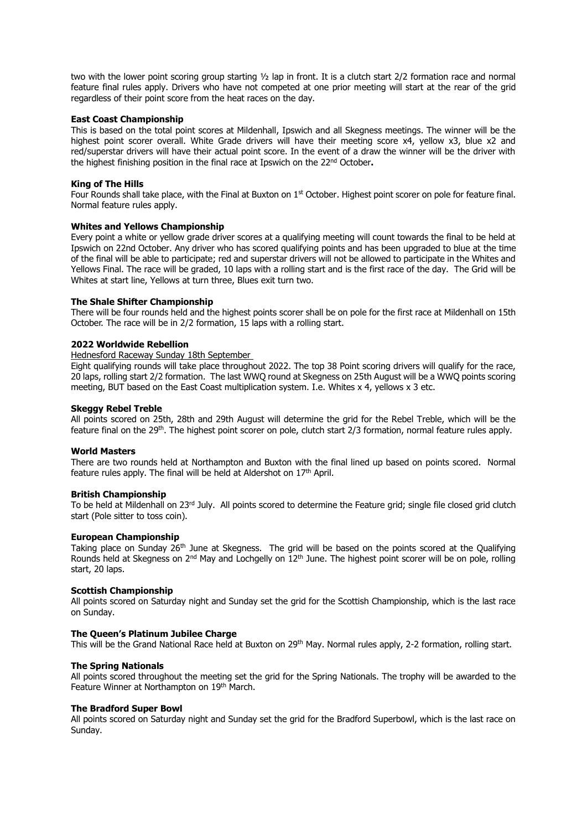two with the lower point scoring group starting ½ lap in front. It is a clutch start 2/2 formation race and normal feature final rules apply. Drivers who have not competed at one prior meeting will start at the rear of the grid regardless of their point score from the heat races on the day.

#### **East Coast Championship**

This is based on the total point scores at Mildenhall, Ipswich and all Skegness meetings. The winner will be the highest point scorer overall. White Grade drivers will have their meeting score x4, yellow x3, blue x2 and red/superstar drivers will have their actual point score. In the event of a draw the winner will be the driver with the highest finishing position in the final race at Ipswich on the 22nd October**.** 

#### **King of The Hills**

Four Rounds shall take place, with the Final at Buxton on 1<sup>st</sup> October. Highest point scorer on pole for feature final. Normal feature rules apply.

#### **Whites and Yellows Championship**

Every point a white or yellow grade driver scores at a qualifying meeting will count towards the final to be held at Ipswich on 22nd October. Any driver who has scored qualifying points and has been upgraded to blue at the time of the final will be able to participate; red and superstar drivers will not be allowed to participate in the Whites and Yellows Final. The race will be graded, 10 laps with a rolling start and is the first race of the day. The Grid will be Whites at start line, Yellows at turn three, Blues exit turn two.

#### **The Shale Shifter Championship**

There will be four rounds held and the highest points scorer shall be on pole for the first race at Mildenhall on 15th October. The race will be in 2/2 formation, 15 laps with a rolling start.

#### **2022 Worldwide Rebellion**

### Hednesford Raceway Sunday 18th September

Eight qualifying rounds will take place throughout 2022. The top 38 Point scoring drivers will qualify for the race, 20 laps, rolling start 2/2 formation. The last WWQ round at Skegness on 25th August will be a WWQ points scoring meeting, BUT based on the East Coast multiplication system. I.e. Whites x 4, yellows x 3 etc.

#### **Skeggy Rebel Treble**

All points scored on 25th, 28th and 29th August will determine the grid for the Rebel Treble, which will be the feature final on the 29<sup>th</sup>. The highest point scorer on pole, clutch start 2/3 formation, normal feature rules apply.

#### **World Masters**

There are two rounds held at Northampton and Buxton with the final lined up based on points scored. Normal feature rules apply. The final will be held at Aldershot on  $17<sup>th</sup>$  April.

#### **British Championship**

To be held at Mildenhall on 23<sup>rd</sup> July. All points scored to determine the Feature grid; single file closed grid clutch start (Pole sitter to toss coin).

#### **European Championship**

Taking place on Sunday 26<sup>th</sup> June at Skegness. The grid will be based on the points scored at the Qualifying Rounds held at Skegness on  $2<sup>nd</sup>$  May and Lochgelly on  $12<sup>th</sup>$  June. The highest point scorer will be on pole, rolling start, 20 laps.

#### **Scottish Championship**

All points scored on Saturday night and Sunday set the grid for the Scottish Championship, which is the last race on Sunday.

#### **The Queen's Platinum Jubilee Charge**

This will be the Grand National Race held at Buxton on 29<sup>th</sup> May. Normal rules apply, 2-2 formation, rolling start.

#### **The Spring Nationals**

All points scored throughout the meeting set the grid for the Spring Nationals. The trophy will be awarded to the Feature Winner at Northampton on 19th March.

#### **The Bradford Super Bowl**

All points scored on Saturday night and Sunday set the grid for the Bradford Superbowl, which is the last race on Sunday.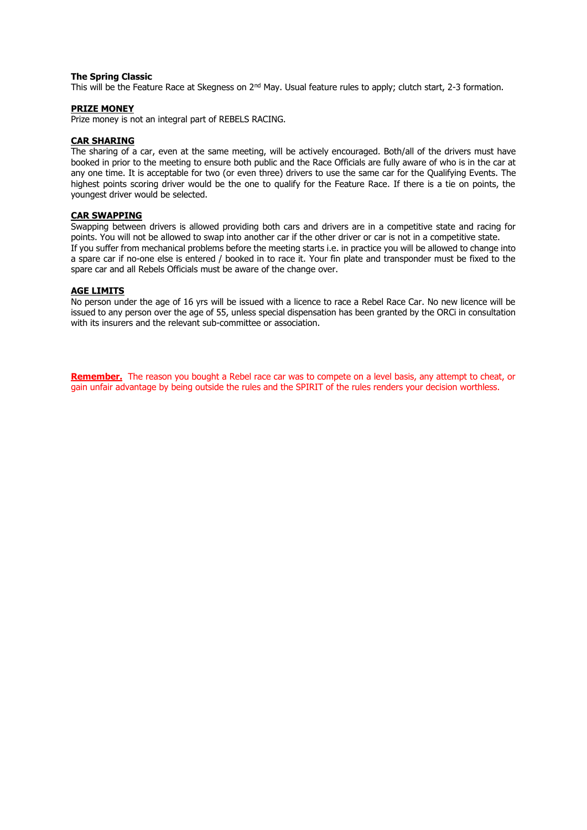#### **The Spring Classic**

This will be the Feature Race at Skegness on 2<sup>nd</sup> May. Usual feature rules to apply; clutch start, 2-3 formation.

#### **PRIZE MONEY**

Prize money is not an integral part of REBELS RACING.

#### **CAR SHARING**

The sharing of a car, even at the same meeting, will be actively encouraged. Both/all of the drivers must have booked in prior to the meeting to ensure both public and the Race Officials are fully aware of who is in the car at any one time. It is acceptable for two (or even three) drivers to use the same car for the Qualifying Events. The highest points scoring driver would be the one to qualify for the Feature Race. If there is a tie on points, the youngest driver would be selected.

#### **CAR SWAPPING**

Swapping between drivers is allowed providing both cars and drivers are in a competitive state and racing for points. You will not be allowed to swap into another car if the other driver or car is not in a competitive state. If you suffer from mechanical problems before the meeting starts i.e. in practice you will be allowed to change into a spare car if no-one else is entered / booked in to race it. Your fin plate and transponder must be fixed to the spare car and all Rebels Officials must be aware of the change over.

#### **AGE LIMITS**

No person under the age of 16 yrs will be issued with a licence to race a Rebel Race Car. No new licence will be issued to any person over the age of 55, unless special dispensation has been granted by the ORCi in consultation with its insurers and the relevant sub-committee or association.

**Remember.** The reason you bought a Rebel race car was to compete on a level basis, any attempt to cheat, or gain unfair advantage by being outside the rules and the SPIRIT of the rules renders your decision worthless.